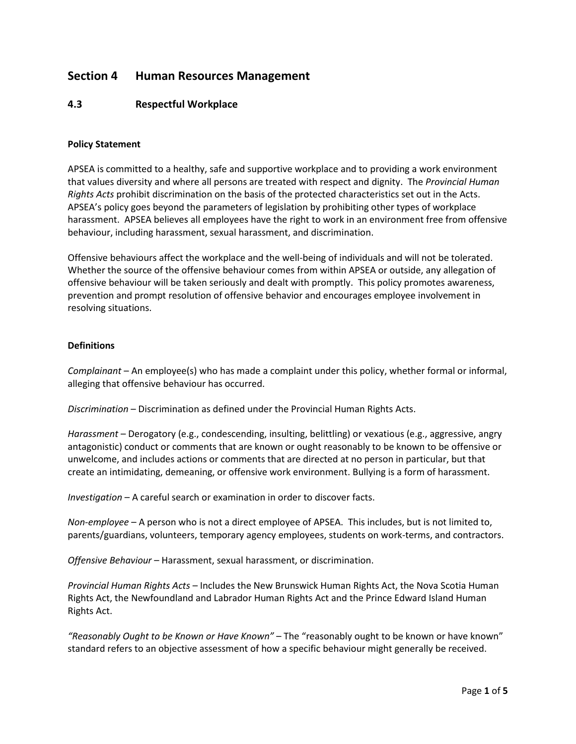# **Section 4 Human Resources Management**

## **4.3 Respectful Workplace**

#### **Policy Statement**

APSEA is committed to a healthy, safe and supportive workplace and to providing a work environment that values diversity and where all persons are treated with respect and dignity. The *Provincial Human Rights Acts* prohibit discrimination on the basis of the protected characteristics set out in the Acts. APSEA's policy goes beyond the parameters of legislation by prohibiting other types of workplace harassment. APSEA believes all employees have the right to work in an environment free from offensive behaviour, including harassment, sexual harassment, and discrimination.

Offensive behaviours affect the workplace and the well-being of individuals and will not be tolerated. Whether the source of the offensive behaviour comes from within APSEA or outside, any allegation of offensive behaviour will be taken seriously and dealt with promptly. This policy promotes awareness, prevention and prompt resolution of offensive behavior and encourages employee involvement in resolving situations.

## **Definitions**

*Complainant* – An employee(s) who has made a complaint under this policy, whether formal or informal, alleging that offensive behaviour has occurred.

*Discrimination* – Discrimination as defined under the Provincial Human Rights Acts.

*Harassment* – Derogatory (e.g., condescending, insulting, belittling) or vexatious (e.g., aggressive, angry antagonistic) conduct or comments that are known or ought reasonably to be known to be offensive or unwelcome, and includes actions or comments that are directed at no person in particular, but that create an intimidating, demeaning, or offensive work environment. Bullying is a form of harassment.

*Investigation* – A careful search or examination in order to discover facts.

*Non-employee* – A person who is not a direct employee of APSEA. This includes, but is not limited to, parents/guardians, volunteers, temporary agency employees, students on work-terms, and contractors.

*Offensive Behaviour* – Harassment, sexual harassment, or discrimination.

*Provincial Human Rights Acts* – Includes the New Brunswick Human Rights Act, the Nova Scotia Human Rights Act, the Newfoundland and Labrador Human Rights Act and the Prince Edward Island Human Rights Act.

*"Reasonably Ought to be Known or Have Known"* – The "reasonably ought to be known or have known" standard refers to an objective assessment of how a specific behaviour might generally be received.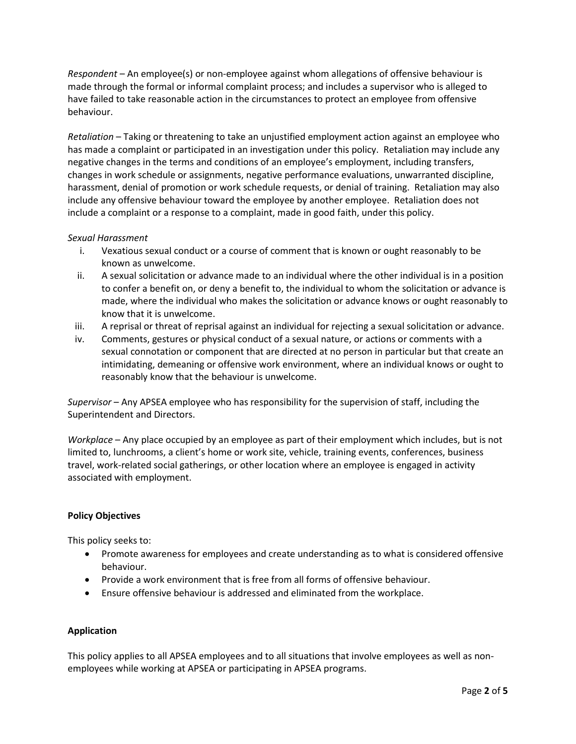*Respondent* – An employee(s) or non-employee against whom allegations of offensive behaviour is made through the formal or informal complaint process; and includes a supervisor who is alleged to have failed to take reasonable action in the circumstances to protect an employee from offensive behaviour.

*Retaliation* – Taking or threatening to take an unjustified employment action against an employee who has made a complaint or participated in an investigation under this policy. Retaliation may include any negative changes in the terms and conditions of an employee's employment, including transfers, changes in work schedule or assignments, negative performance evaluations, unwarranted discipline, harassment, denial of promotion or work schedule requests, or denial of training. Retaliation may also include any offensive behaviour toward the employee by another employee. Retaliation does not include a complaint or a response to a complaint, made in good faith, under this policy.

## *Sexual Harassment*

- i. Vexatious sexual conduct or a course of comment that is known or ought reasonably to be known as unwelcome.
- ii. A sexual solicitation or advance made to an individual where the other individual is in a position to confer a benefit on, or deny a benefit to, the individual to whom the solicitation or advance is made, where the individual who makes the solicitation or advance knows or ought reasonably to know that it is unwelcome.
- iii. A reprisal or threat of reprisal against an individual for rejecting a sexual solicitation or advance.
- iv. Comments, gestures or physical conduct of a sexual nature, or actions or comments with a sexual connotation or component that are directed at no person in particular but that create an intimidating, demeaning or offensive work environment, where an individual knows or ought to reasonably know that the behaviour is unwelcome.

*Supervisor* – Any APSEA employee who has responsibility for the supervision of staff, including the Superintendent and Directors.

*Workplace* – Any place occupied by an employee as part of their employment which includes, but is not limited to, lunchrooms, a client's home or work site, vehicle, training events, conferences, business travel, work-related social gatherings, or other location where an employee is engaged in activity associated with employment.

## **Policy Objectives**

This policy seeks to:

- Promote awareness for employees and create understanding as to what is considered offensive behaviour.
- Provide a work environment that is free from all forms of offensive behaviour.
- Ensure offensive behaviour is addressed and eliminated from the workplace.

## **Application**

This policy applies to all APSEA employees and to all situations that involve employees as well as nonemployees while working at APSEA or participating in APSEA programs.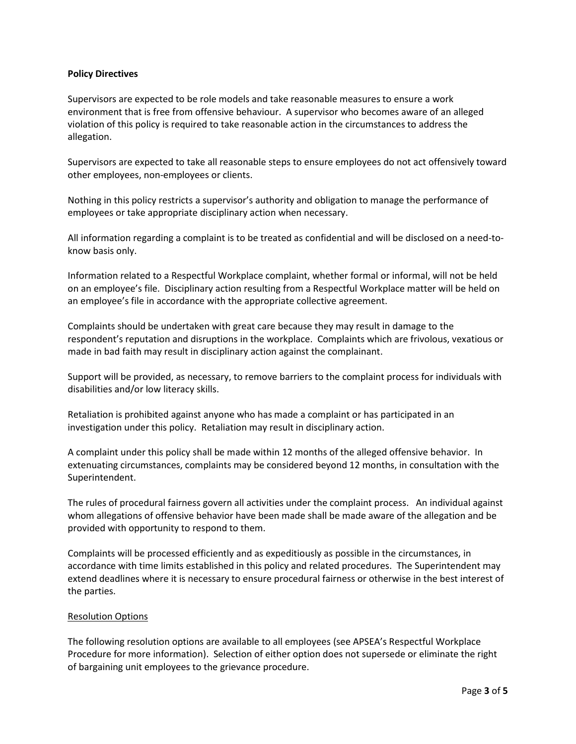#### **Policy Directives**

Supervisors are expected to be role models and take reasonable measures to ensure a work environment that is free from offensive behaviour. A supervisor who becomes aware of an alleged violation of this policy is required to take reasonable action in the circumstances to address the allegation.

Supervisors are expected to take all reasonable steps to ensure employees do not act offensively toward other employees, non-employees or clients.

Nothing in this policy restricts a supervisor's authority and obligation to manage the performance of employees or take appropriate disciplinary action when necessary.

All information regarding a complaint is to be treated as confidential and will be disclosed on a need-toknow basis only.

Information related to a Respectful Workplace complaint, whether formal or informal, will not be held on an employee's file. Disciplinary action resulting from a Respectful Workplace matter will be held on an employee's file in accordance with the appropriate collective agreement.

Complaints should be undertaken with great care because they may result in damage to the respondent's reputation and disruptions in the workplace. Complaints which are frivolous, vexatious or made in bad faith may result in disciplinary action against the complainant.

Support will be provided, as necessary, to remove barriers to the complaint process for individuals with disabilities and/or low literacy skills.

Retaliation is prohibited against anyone who has made a complaint or has participated in an investigation under this policy. Retaliation may result in disciplinary action.

A complaint under this policy shall be made within 12 months of the alleged offensive behavior. In extenuating circumstances, complaints may be considered beyond 12 months, in consultation with the Superintendent.

The rules of procedural fairness govern all activities under the complaint process. An individual against whom allegations of offensive behavior have been made shall be made aware of the allegation and be provided with opportunity to respond to them.

Complaints will be processed efficiently and as expeditiously as possible in the circumstances, in accordance with time limits established in this policy and related procedures. The Superintendent may extend deadlines where it is necessary to ensure procedural fairness or otherwise in the best interest of the parties.

## Resolution Options

The following resolution options are available to all employees (see APSEA's Respectful Workplace Procedure for more information). Selection of either option does not supersede or eliminate the right of bargaining unit employees to the grievance procedure.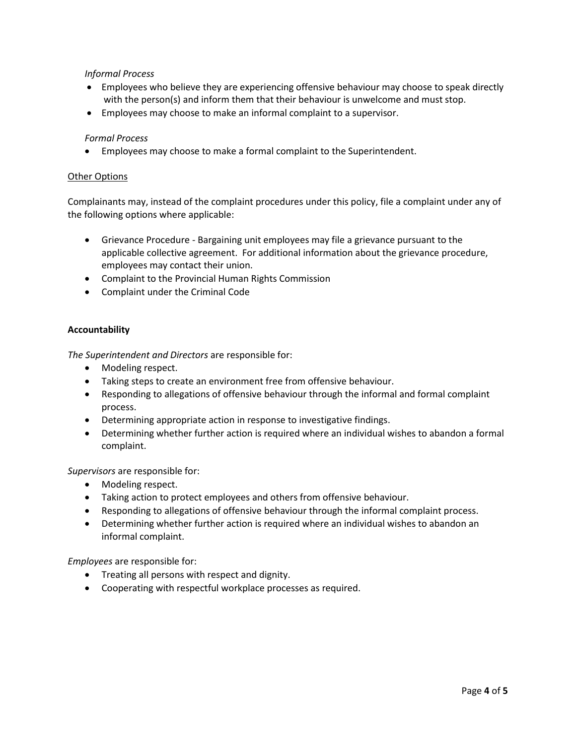## *Informal Process*

- Employees who believe they are experiencing offensive behaviour may choose to speak directly with the person(s) and inform them that their behaviour is unwelcome and must stop.
- Employees may choose to make an informal complaint to a supervisor.

## *Formal Process*

Employees may choose to make a formal complaint to the Superintendent.

#### Other Options

Complainants may, instead of the complaint procedures under this policy, file a complaint under any of the following options where applicable:

- Grievance Procedure Bargaining unit employees may file a grievance pursuant to the applicable collective agreement. For additional information about the grievance procedure, employees may contact their union.
- Complaint to the Provincial Human Rights Commission
- Complaint under the Criminal Code

#### **Accountability**

*The Superintendent and Directors* are responsible for:

- Modeling respect.
- Taking steps to create an environment free from offensive behaviour.
- Responding to allegations of offensive behaviour through the informal and formal complaint process.
- Determining appropriate action in response to investigative findings.
- Determining whether further action is required where an individual wishes to abandon a formal complaint.

*Supervisors* are responsible for:

- Modeling respect.
- Taking action to protect employees and others from offensive behaviour.
- Responding to allegations of offensive behaviour through the informal complaint process.
- Determining whether further action is required where an individual wishes to abandon an informal complaint.

*Employees* are responsible for:

- Treating all persons with respect and dignity.
- Cooperating with respectful workplace processes as required.